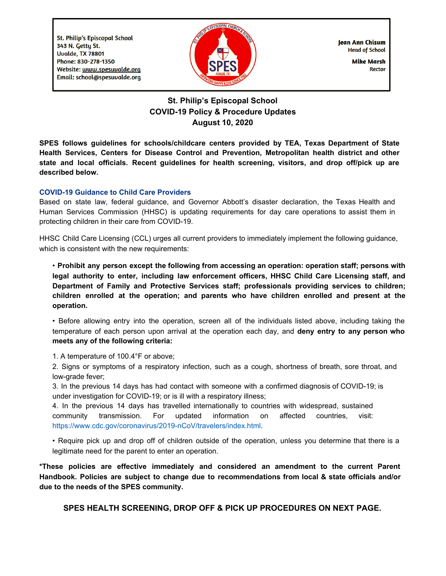**St. Philip's Episcopal School** 343 N. Getty St. Uvalde, TX 78801 Phone: 830-278-1350 Website: www.spesuvalde.org Email: school@spesuvalde.org



Jean Ann Chisum **Head of School** 

> **Mike Marsh Rector**

# **St. Philip's Episcopal School COVID-19 Policy & Procedure Updates August 10, 2020**

**SPES follows guidelines for schools/childcare centers provided by TEA, Texas Department of State Health Services, Centers for Disease Control and Prevention, Metropolitan health district and other state and local officials. Recent guidelines for health screening, visitors, and drop off/pick up are described below.**

### **COVID-19 Guidance to Child Care Providers**

Based on state law, federal guidance, and Governor Abbott's disaster declaration, the Texas Health and Human Services Commission (HHSC) is updating requirements for day care operations to assist them in protecting children in their care from COVID-19.

HHSC Child Care Licensing (CCL) urges all current providers to immediately implement the following guidance, which is consistent with the new requirements:

• **Prohibit any person except the following from accessing an operation: operation staff; persons with legal authority to enter, including law enforcement officers, HHSC Child Care Licensing staff, and Department of Family and Protective Services staff; professionals providing services to children; children enrolled at the operation; and parents who have children enrolled and present at the operation.**

• Before allowing entry into the operation, screen all of the individuals listed above, including taking the temperature of each person upon arrival at the operation each day, and **deny entry to any person who meets any of the following criteria:**

1. A temperature of 100.4°F or above;

2. Signs or symptoms of a respiratory infection, such as a cough, shortness of breath, sore throat, and low-grade fever;

3. In the previous 14 days has had contact with someone with a confirmed diagnosis of COVID-19; is under investigation for COVID-19; or is ill with a respiratory illness;

4. In the previous 14 days has travelled internationally to countries with widespread, sustained community transmission. For updated information on affected countries, visit: https://www.cdc.gov/coronavirus/2019-nCoV/travelers/index.html.

• Require pick up and drop off of children outside of the operation, unless you determine that there is a legitimate need for the parent to enter an operation.

**\*These policies are effective immediately and considered an amendment to the current Parent Handbook. Policies are subject to change due to recommendations from local & state officials and/or due to the needs of the SPES community.**

**SPES HEALTH SCREENING, DROP OFF & PICK UP PROCEDURES ON NEXT PAGE.**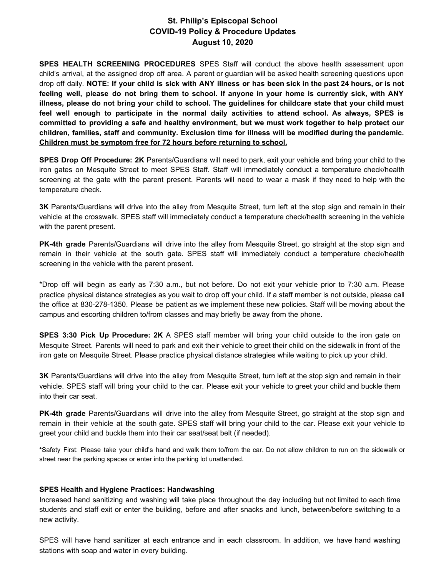## **St. Philip's Episcopal School COVID-19 Policy & Procedure Updates August 10, 2020**

**SPES HEALTH SCREENING PROCEDURES** SPES Staff will conduct the above health assessment upon child's arrival, at the assigned drop off area. A parent or guardian will be asked health screening questions upon drop off daily. NOTE: If your child is sick with ANY illness or has been sick in the past 24 hours, or is not feeling well, please do not bring them to school. If anyone in your home is currently sick, with ANY illness, please do not bring your child to school. The guidelines for childcare state that your child must **feel well enough to participate in the normal daily activities to attend school. As always, SPES is committed to providing a safe and healthy environment, but we must work together to help protect our children, families, staff and community. Exclusion time for illness will be modified during the pandemic. Children must be symptom free for 72 hours before returning to school.**

**SPES Drop Off Procedure: 2K** Parents/Guardians will need to park, exit your vehicle and bring your child to the iron gates on Mesquite Street to meet SPES Staff. Staff will immediately conduct a temperature check/health screening at the gate with the parent present. Parents will need to wear a mask if they need to help with the temperature check.

**3K** Parents/Guardians will drive into the alley from Mesquite Street, turn left at the stop sign and remain in their vehicle at the crosswalk. SPES staff will immediately conduct a temperature check/health screening in the vehicle with the parent present.

**PK-4th grade** Parents/Guardians will drive into the alley from Mesquite Street, go straight at the stop sign and remain in their vehicle at the south gate. SPES staff will immediately conduct a temperature check/health screening in the vehicle with the parent present.

\*Drop off will begin as early as 7:30 a.m., but not before. Do not exit your vehicle prior to 7:30 a.m. Please practice physical distance strategies as you wait to drop off your child. If a staff member is not outside, please call the office at 830-278-1350. Please be patient as we implement these new policies. Staff will be moving about the campus and escorting children to/from classes and may briefly be away from the phone.

**SPES 3:30 Pick Up Procedure: 2K** A SPES staff member will bring your child outside to the iron gate on Mesquite Street. Parents will need to park and exit their vehicle to greet their child on the sidewalk in front of the iron gate on Mesquite Street. Please practice physical distance strategies while waiting to pick up your child.

**3K** Parents/Guardians will drive into the alley from Mesquite Street, turn left at the stop sign and remain in their vehicle. SPES staff will bring your child to the car. Please exit your vehicle to greet your child and buckle them into their car seat.

**PK-4th grade** Parents/Guardians will drive into the alley from Mesquite Street, go straight at the stop sign and remain in their vehicle at the south gate. SPES staff will bring your child to the car. Please exit your vehicle to greet your child and buckle them into their car seat/seat belt (if needed).

**\***Safety First: Please take your child's hand and walk them to/from the car. Do not allow children to run on the sidewalk or street near the parking spaces or enter into the parking lot unattended.

### **SPES Health and Hygiene Practices: Handwashing**

Increased hand sanitizing and washing will take place throughout the day including but not limited to each time students and staff exit or enter the building, before and after snacks and lunch, between/before switching to a new activity.

SPES will have hand sanitizer at each entrance and in each classroom. In addition, we have hand washing stations with soap and water in every building.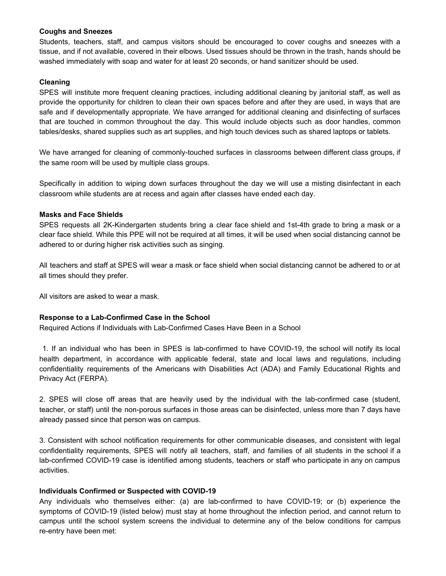#### **Coughs and Sneezes**

Students, teachers, staff, and campus visitors should be encouraged to cover coughs and sneezes with a tissue, and if not available, covered in their elbows. Used tissues should be thrown in the trash, hands should be washed immediately with soap and water for at least 20 seconds, or hand sanitizer should be used.

### **Cleaning**

SPES will institute more frequent cleaning practices, including additional cleaning by janitorial staff, as well as provide the opportunity for children to clean their own spaces before and after they are used, in ways that are safe and if developmentally appropriate. We have arranged for additional cleaning and disinfecting of surfaces that are touched in common throughout the day. This would include objects such as door handles, common tables/desks, shared supplies such as art supplies, and high touch devices such as shared laptops or tablets.

We have arranged for cleaning of commonly-touched surfaces in classrooms between different class groups, if the same room will be used by multiple class groups.

Specifically in addition to wiping down surfaces throughout the day we will use a misting disinfectant in each classroom while students are at recess and again after classes have ended each day.

### **Masks and Face Shields**

SPES requests all 2K-Kindergarten students bring a clear face shield and 1st-4th grade to bring a mask or a clear face shield. While this PPE will not be required at all times, it will be used when social distancing cannot be adhered to or during higher risk activities such as singing.

All teachers and staff at SPES will wear a mask or face shield when social distancing cannot be adhered to or at all times should they prefer.

All visitors are asked to wear a mask.

### **Response to a Lab-Confirmed Case in the School**

Required Actions if Individuals with Lab-Confirmed Cases Have Been in a School

1. If an individual who has been in SPES is lab-confirmed to have COVID-19, the school will notify its local health department, in accordance with applicable federal, state and local laws and regulations, including confidentiality requirements of the Americans with Disabilities Act (ADA) and Family Educational Rights and Privacy Act (FERPA).

2. SPES will close off areas that are heavily used by the individual with the lab-confirmed case (student, teacher, or staff) until the non-porous surfaces in those areas can be disinfected, unless more than 7 days have already passed since that person was on campus.

3. Consistent with school notification requirements for other communicable diseases, and consistent with legal confidentiality requirements, SPES will notify all teachers, staff, and families of all students in the school if a lab-confirmed COVID-19 case is identified among students, teachers or staff who participate in any on campus activities.

#### **Individuals Confirmed or Suspected with COVID-19**

Any individuals who themselves either: (a) are lab-confirmed to have COVID-19; or (b) experience the symptoms of COVID-19 (listed below) must stay at home throughout the infection period, and cannot return to campus until the school system screens the individual to determine any of the below conditions for campus re-entry have been met: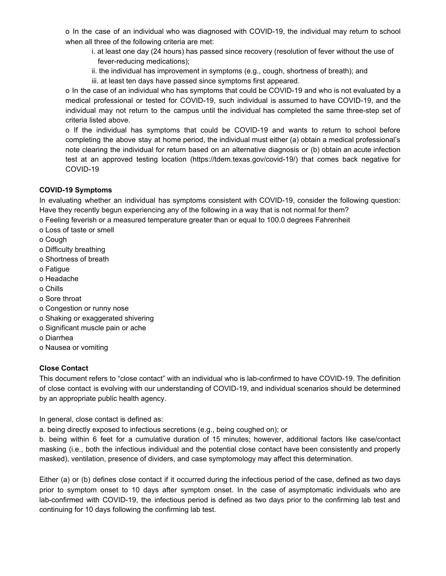o In the case of an individual who was diagnosed with COVID-19, the individual may return to school when all three of the following criteria are met:

- i. at least one day (24 hours) has passed since recovery (resolution of fever without the use of fever-reducing medications);
- ii. the individual has improvement in symptoms (e.g., cough, shortness of breath); and
- iii. at least ten days have passed since symptoms first appeared.

o In the case of an individual who has symptoms that could be COVID-19 and who is not evaluated by a medical professional or tested for COVID-19, such individual is assumed to have COVID-19, and the individual may not return to the campus until the individual has completed the same three-step set of criteria listed above.

o If the individual has symptoms that could be COVID-19 and wants to return to school before completing the above stay at home period, the individual must either (a) obtain a medical professional's note clearing the individual for return based on an alternative diagnosis or (b) obtain an acute infection test at an approved testing location (https://tdem.texas.gov/covid-19/) that comes back negative for COVID-19

### **COVID-19 Symptoms**

In evaluating whether an individual has symptoms consistent with COVID-19, consider the following question: Have they recently begun experiencing any of the following in a way that is not normal for them?

- o Feeling feverish or a measured temperature greater than or equal to 100.0 degrees Fahrenheit
- o Loss of taste or smell
- o Cough
- o Difficulty breathing
- o Shortness of breath
- o Fatigue
- o Headache
- o Chills
- o Sore throat
- o Congestion or runny nose
- o Shaking or exaggerated shivering
- o Significant muscle pain or ache
- o Diarrhea
- o Nausea or vomiting

### **Close Contact**

This document refers to "close contact" with an individual who is lab-confirmed to have COVID-19. The definition of close contact is evolving with our understanding of COVID-19, and individual scenarios should be determined by an appropriate public health agency.

In general, close contact is defined as:

a. being directly exposed to infectious secretions (e.g., being coughed on); or

b. being within 6 feet for a cumulative duration of 15 minutes; however, additional factors like case/contact masking (i.e., both the infectious individual and the potential close contact have been consistently and properly masked), ventilation, presence of dividers, and case symptomology may affect this determination.

Either (a) or (b) defines close contact if it occurred during the infectious period of the case, defined as two days prior to symptom onset to 10 days after symptom onset. In the case of asymptomatic individuals who are lab-confirmed with COVID-19, the infectious period is defined as two days prior to the confirming lab test and continuing for 10 days following the confirming lab test.